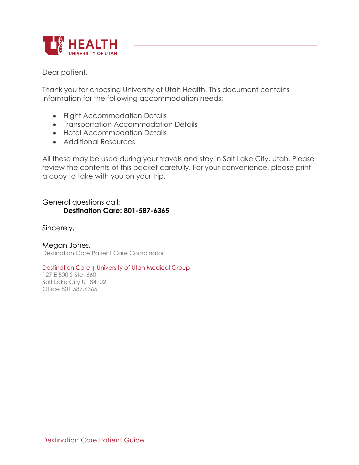

Dear patient,

Thank you for choosing University of Utah Health. This document contains information for the following accommodation needs:

- Flight Accommodation Details
- Transportation Accommodation Details
- Hotel Accommodation Details
- Additional Resources

All these may be used during your travels and stay in Salt Lake City, Utah. Please review the contents of this packet carefully. For your convenience, please print a copy to take with you on your trip.

General questions call: **Destination Care: 801-587-6365**

Sincerely,

Megan Jones, Destination Care Patient Care Coordinator

Destination Care | University of Utah Medical Group

127 E 500 S Ste. 660 Salt Lake City UT 84102 Office 801.587.6365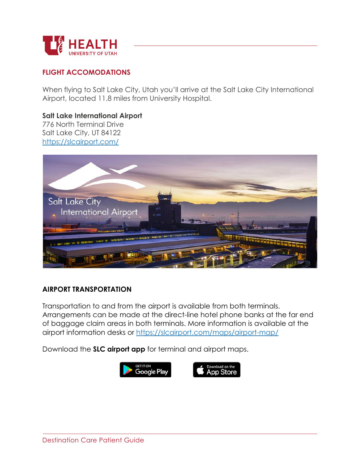

### **FLIGHT ACCOMODATIONS**

When flying to Salt Lake City, Utah you'll arrive at the Salt Lake City International Airport, located 11.8 miles from University Hospital.

**Salt Lake International Airport**  776 North Terminal Drive Salt Lake City, UT 84122 https://slcairport.com/



#### **AIRPORT TRANSPORTATION**

Transportation to and from the airport is available from both terminals. Arrangements can be made at the direct-line hotel phone banks at the far end of baggage claim areas in both terminals. More information is available at the airport information desks or https://slcairport.com/maps/airport-map/

Download the **SLC airport app** for terminal and airport maps.

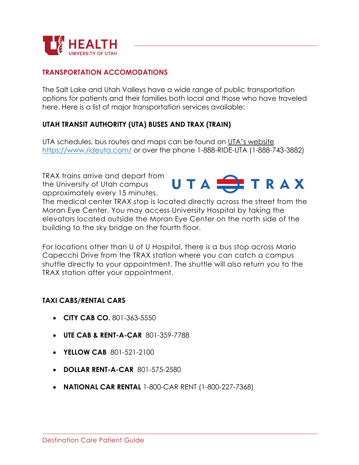

#### **TRANSPORTATION ACCOMODATIONS**

The Salt Lake and Utah Valleys have a wide range of public transportation options for patients and their families both local and those who have traveled here. Here is a list of major transportation services available:

#### **UTAH TRANSIT AUTHORITY (UTA) BUSES AND TRAX (TRAIN)**

UTA schedules, bus routes and maps can be found on UTA's website https://www.rideuta.com/ or over the phone 1-888-RIDE-UTA (1-888-743-3882)

TRAX trains arrive and depart from the University of Utah campus approximately every 15 minutes.



The medical center TRAX stop is located directly across the street from the Moran Eye Center. You may access University Hospital by taking the elevators located outside the Moran Eye Center on the north side of the building to the sky bridge on the fourth floor.

For locations other than U of U Hospital, there is a bus stop across Mario Capecchi Drive from the TRAX station where you can catch a campus shuttle directly to your appointment. The shuttle will also return you to the TRAX station after your appointment.

#### **TAXI CABS/RENTAL CARS**

- **CITY CAB CO.** 801-363-5550
- **UTE CAB & RENT-A-CAR** 801-359-7788
- **YELLOW CAB** 801-521-2100
- **DOLLAR RENT-A-CAR** 801-575-2580
- **NATIONAL CAR RENTAL** 1-800-CAR RENT (1-800-227-7368)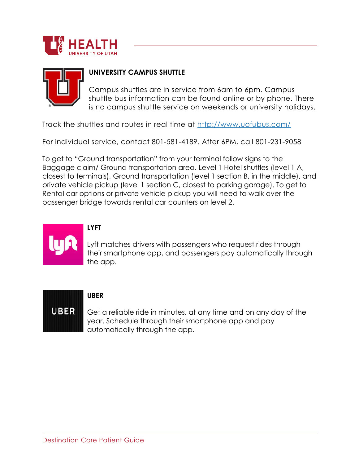



### **UNIVERSITY CAMPUS SHUTTLE**

Campus shuttles are in service from 6am to 6pm. Campus shuttle bus information can be found online or by phone. There is no campus shuttle service on weekends or university holidays.

Track the shuttles and routes in real time at http://www.uofubus.com/

For individual service, contact 801-581-4189. After 6PM, call 801-231-9058

To get to "Ground transportation" from your terminal follow signs to the Baggage claim/ Ground transportation area. Level 1 Hotel shuttles (level 1 A, closest to terminals), Ground transportation (level 1 section B, in the middle), and private vehicle pickup (level 1 section C, closest to parking garage). To get to Rental car options or private vehicle pickup you will need to walk over the passenger bridge towards rental car counters on level 2.



# **LYFT**

Lyft matches drivers with passengers who request rides through their smartphone app, and passengers pay automatically through the app.



### **UBER**

Get a reliable ride in minutes, at any time and on any day of the year. Schedule through their smartphone app and pay automatically through the app.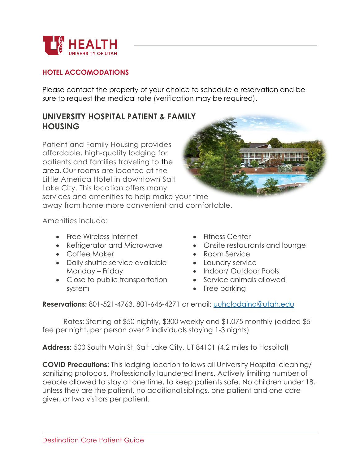

### **HOTEL ACCOMODATIONS**

Please contact the property of your choice to schedule a reservation and be sure to request the medical rate (verification may be required).

# **UNIVERSITY HOSPITAL PATIENT & FAMILY HOUSING**

Patient and Family Housing provides affordable, high-quality lodging for patients and families traveling to the area. Our rooms are located at the Little America Hotel in downtown Salt Lake City. This location offers many services and amenities to help make your time away from home more convenient and comfortable.

Amenities include:

- Free Wireless Internet
- Refrigerator and Microwave
- Coffee Maker
- Daily shuttle service available Monday – Friday
- Close to public transportation system
- Fitness Center
- Onsite restaurants and lounge
- Room Service
- Laundry service
- Indoor/ Outdoor Pools
- Service animals allowed
- Free parking

**Reservations:** 801-521-4763, 801-646-4271 or email: uuhclodging@utah.edu

Rates: Starting at \$50 nightly, \$300 weekly and \$1,075 monthly (added \$5 fee per night, per person over 2 individuals staying 1-3 nights)

**Address:** 500 South Main St, Salt Lake City, UT 84101 (4.2 miles to Hospital)

**COVID Precautions:** This lodging location follows all University Hospital cleaning/ sanitizing protocols. Professionally laundered linens. Actively limiting number of people allowed to stay at one time, to keep patients safe. No children under 18, unless they are the patient, no additional siblings, one patient and one care giver, or two visitors per patient.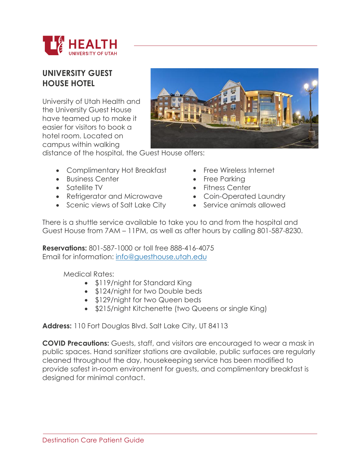

# **UNIVERSITY GUEST HOUSE HOTEL**

University of Utah Health and the University Guest House have teamed up to make it easier for visitors to book a hotel room. Located on campus within walking



distance of the hospital, the Guest House offers:

- Complimentary Hot Breakfast
- Business Center
- Satellite TV
- Refrigerator and Microwave
- Scenic views of Salt Lake City
- Free Wireless Internet
- Free Parking
- Fitness Center
- Coin-Operated Laundry
- Service animals allowed

There is a shuttle service available to take you to and from the hospital and Guest House from 7AM – 11PM, as well as after hours by calling 801-587-8230.

**Reservations:** 801-587-1000 or toll free 888-416-4075 Email for information: info@guesthouse.utah.edu

Medical Rates:

- \$119/night for Standard King
- \$124/night for two Double beds
- \$129/night for two Queen beds
- \$215/night Kitchenette (two Queens or single King)

**Address:** 110 Fort Douglas Blvd. Salt Lake City, UT 84113

**COVID Precautions:** Guests, staff, and visitors are encouraged to wear a mask in public spaces. Hand sanitizer stations are available, public surfaces are regularly cleaned throughout the day, housekeeping service has been modified to provide safest in-room environment for guests, and complimentary breakfast is designed for minimal contact.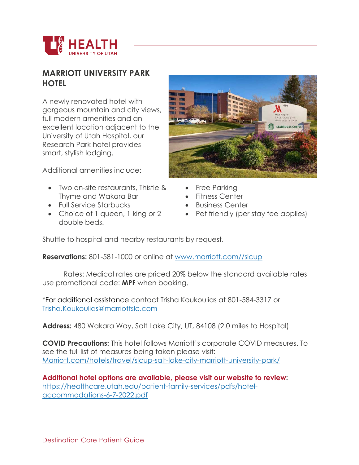

# **MARRIOTT UNIVERSITY PARK HOTEL**

A newly renovated hotel with gorgeous mountain and city views, full modern amenities and an excellent location adjacent to the University of Utah Hospital, our Research Park hotel provides smart, stylish lodging.

Additional amenities include:

- Two on-site restaurants, Thistle & Thyme and Wakara Bar
- Full Service Starbucks
- Choice of 1 queen, 1 king or 2 double beds.



- Free Parking
- Fitness Center
- Business Center
- Pet friendly (per stay fee applies)

Shuttle to hospital and nearby restaurants by request.

**Reservations:** 801-581-1000 or online at www.marriott.com//slcup

Rates: Medical rates are priced 20% below the standard available rates use promotional code: **MPF** when booking.

\*For additional assistance contact Trisha Koukoulias at 801-584-3317 or Trisha.Koukoulias@marriottslc.com

**Address:** 480 Wakara Way, Salt Lake City, UT, 84108 (2.0 miles to Hospital)

**COVID Precautions:** This hotel follows Marriott's corporate COVID measures. To see the full list of measures being taken please visit: Marriott.com/hotels/travel/slcup-salt-lake-city-marriott-university-park/

**Additional hotel options are available, please visit our website to review:**  https://healthcare.utah.edu/patient-family-services/pdfs/hotelaccommodations-6-7-2022.pdf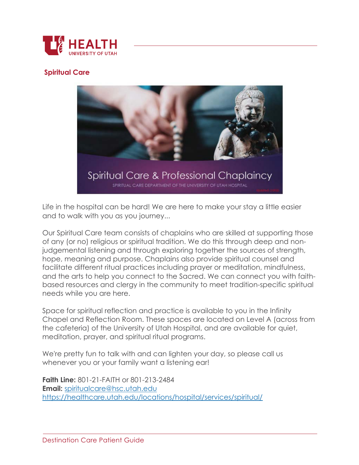

### **Spiritual Care**



Life in the hospital can be hard! We are here to make your stay a little easier and to walk with you as you journey...

Our Spiritual Care team consists of chaplains who are skilled at supporting those of any (or no) religious or spiritual tradition. We do this through deep and nonjudgemental listening and through exploring together the sources of strength, hope, meaning and purpose. Chaplains also provide spiritual counsel and facilitate different ritual practices including prayer or meditation, mindfulness, and the arts to help you connect to the Sacred. We can connect you with faithbased resources and clergy in the community to meet tradition-specific spiritual needs while you are here.

Space for spiritual reflection and practice is available to you in the Infinity Chapel and Reflection Room. These spaces are located on Level A (across from the cafeteria) of the University of Utah Hospital, and are available for quiet, meditation, prayer, and spiritual ritual programs.

We're pretty fun to talk with and can lighten your day, so please call us whenever you or your family want a listening ear!

**Faith Line:** 801-21-FAITH or 801-213-2484 **Email:** spiritualcare@hsc.utah.edu https://healthcare.utah.edu/locations/hospital/services/spiritual/